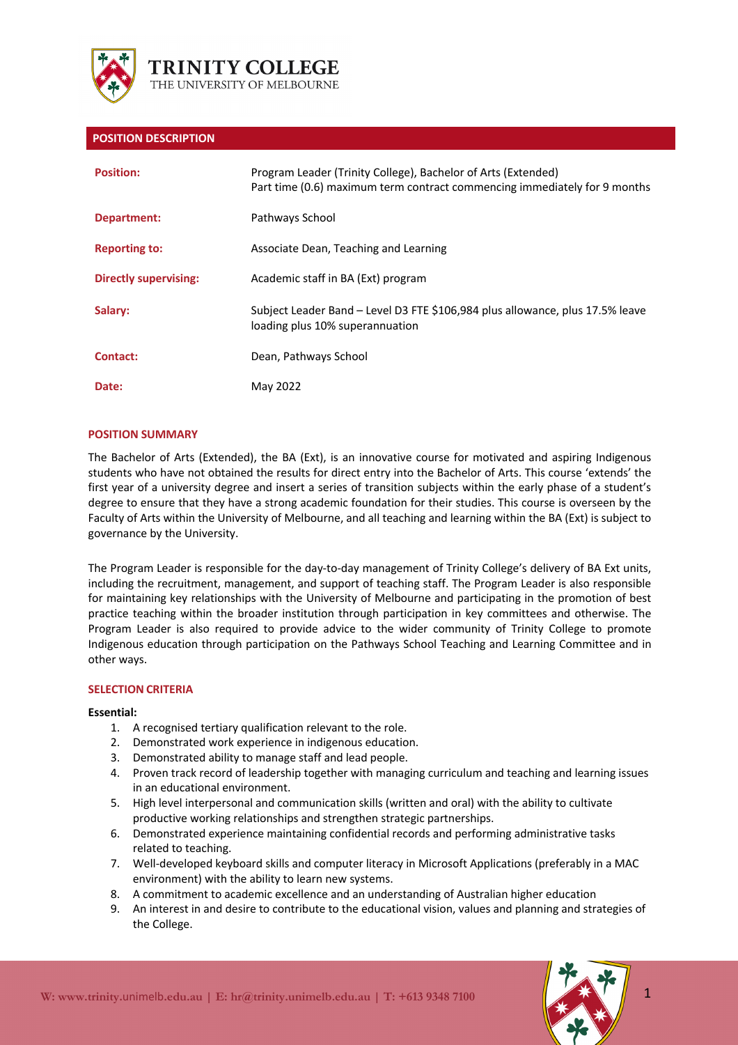

## **POSITION DESCRIPTION**

| <b>Position:</b>      | Program Leader (Trinity College), Bachelor of Arts (Extended)<br>Part time (0.6) maximum term contract commencing immediately for 9 months |
|-----------------------|--------------------------------------------------------------------------------------------------------------------------------------------|
| Department:           | Pathways School                                                                                                                            |
| <b>Reporting to:</b>  | Associate Dean, Teaching and Learning                                                                                                      |
| Directly supervising: | Academic staff in BA (Ext) program                                                                                                         |
| Salary:               | Subject Leader Band – Level D3 FTE \$106,984 plus allowance, plus 17.5% leave<br>loading plus 10% superannuation                           |
| Contact:              | Dean, Pathways School                                                                                                                      |
| Date:                 | May 2022                                                                                                                                   |

## **POSITION SUMMARY**

The Bachelor of Arts (Extended), the BA (Ext), is an innovative course for motivated and aspiring Indigenous students who have not obtained the results for direct entry into the Bachelor of Arts. This course 'extends' the first year of a university degree and insert a series of transition subjects within the early phase of a student's degree to ensure that they have a strong academic foundation for their studies. This course is overseen by the Faculty of Arts within the University of Melbourne, and all teaching and learning within the BA (Ext) is subject to governance by the University.

The Program Leader is responsible for the day-to-day management of Trinity College's delivery of BA Ext units, including the recruitment, management, and support of teaching staff. The Program Leader is also responsible for maintaining key relationships with the University of Melbourne and participating in the promotion of best practice teaching within the broader institution through participation in key committees and otherwise. The Program Leader is also required to provide advice to the wider community of Trinity College to promote Indigenous education through participation on the Pathways School Teaching and Learning Committee and in other ways.

#### **SELECTION CRITERIA**

#### **Essential:**

- 1. A recognised tertiary qualification relevant to the role.
- 2. Demonstrated work experience in indigenous education.
- 3. Demonstrated ability to manage staff and lead people.
- 4. Proven track record of leadership together with managing curriculum and teaching and learning issues in an educational environment.
- 5. High level interpersonal and communication skills (written and oral) with the ability to cultivate productive working relationships and strengthen strategic partnerships.
- 6. Demonstrated experience maintaining confidential records and performing administrative tasks related to teaching.
- 7. Well-developed keyboard skills and computer literacy in Microsoft Applications (preferably in a MAC environment) with the ability to learn new systems.
- 8. A commitment to academic excellence and an understanding of Australian higher education
- 9. An interest in and desire to contribute to the educational vision, values and planning and strategies of the College.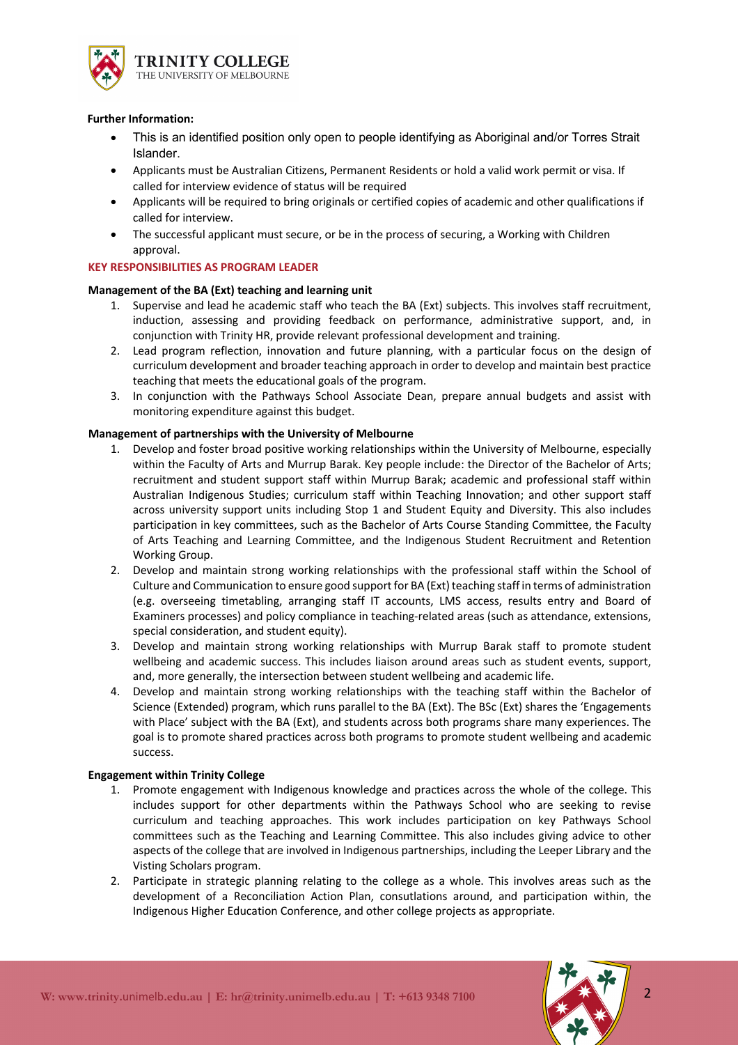

#### **Further Information:**

- This is an identified position only open to people identifying as Aboriginal and/or Torres Strait Islander.
- Applicants must be Australian Citizens, Permanent Residents or hold a valid work permit or visa. If called for interview evidence of status will be required
- Applicants will be required to bring originals or certified copies of academic and other qualifications if called for interview.
- The successful applicant must secure, or be in the process of securing, a Working with Children approval.

## **KEY RESPONSIBILITIES AS PROGRAM LEADER**

#### **Management of the BA (Ext) teaching and learning unit**

- 1. Supervise and lead he academic staff who teach the BA (Ext) subjects. This involves staff recruitment, induction, assessing and providing feedback on performance, administrative support, and, in conjunction with Trinity HR, provide relevant professional development and training.
- 2. Lead program reflection, innovation and future planning, with a particular focus on the design of curriculum development and broader teaching approach in order to develop and maintain best practice teaching that meets the educational goals of the program.
- 3. In conjunction with the Pathways School Associate Dean, prepare annual budgets and assist with monitoring expenditure against this budget.

#### **Management of partnerships with the University of Melbourne**

- 1. Develop and foster broad positive working relationships within the University of Melbourne, especially within the Faculty of Arts and Murrup Barak. Key people include: the Director of the Bachelor of Arts; recruitment and student support staff within Murrup Barak; academic and professional staff within Australian Indigenous Studies; curriculum staff within Teaching Innovation; and other support staff across university support units including Stop 1 and Student Equity and Diversity. This also includes participation in key committees, such as the Bachelor of Arts Course Standing Committee, the Faculty of Arts Teaching and Learning Committee, and the Indigenous Student Recruitment and Retention Working Group.
- 2. Develop and maintain strong working relationships with the professional staff within the School of Culture and Communication to ensure good support for BA (Ext) teaching staff in terms of administration (e.g. overseeing timetabling, arranging staff IT accounts, LMS access, results entry and Board of Examiners processes) and policy compliance in teaching-related areas (such as attendance, extensions, special consideration, and student equity).
- 3. Develop and maintain strong working relationships with Murrup Barak staff to promote student wellbeing and academic success. This includes liaison around areas such as student events, support, and, more generally, the intersection between student wellbeing and academic life.
- 4. Develop and maintain strong working relationships with the teaching staff within the Bachelor of Science (Extended) program, which runs parallel to the BA (Ext). The BSc (Ext) shares the 'Engagements with Place' subject with the BA (Ext), and students across both programs share many experiences. The goal is to promote shared practices across both programs to promote student wellbeing and academic success.

## **Engagement within Trinity College**

- 1. Promote engagement with Indigenous knowledge and practices across the whole of the college. This includes support for other departments within the Pathways School who are seeking to revise curriculum and teaching approaches. This work includes participation on key Pathways School committees such as the Teaching and Learning Committee. This also includes giving advice to other aspects of the college that are involved in Indigenous partnerships, including the Leeper Library and the Visting Scholars program.
- 2. Participate in strategic planning relating to the college as a whole. This involves areas such as the development of a Reconciliation Action Plan, consutlations around, and participation within, the Indigenous Higher Education Conference, and other college projects as appropriate.

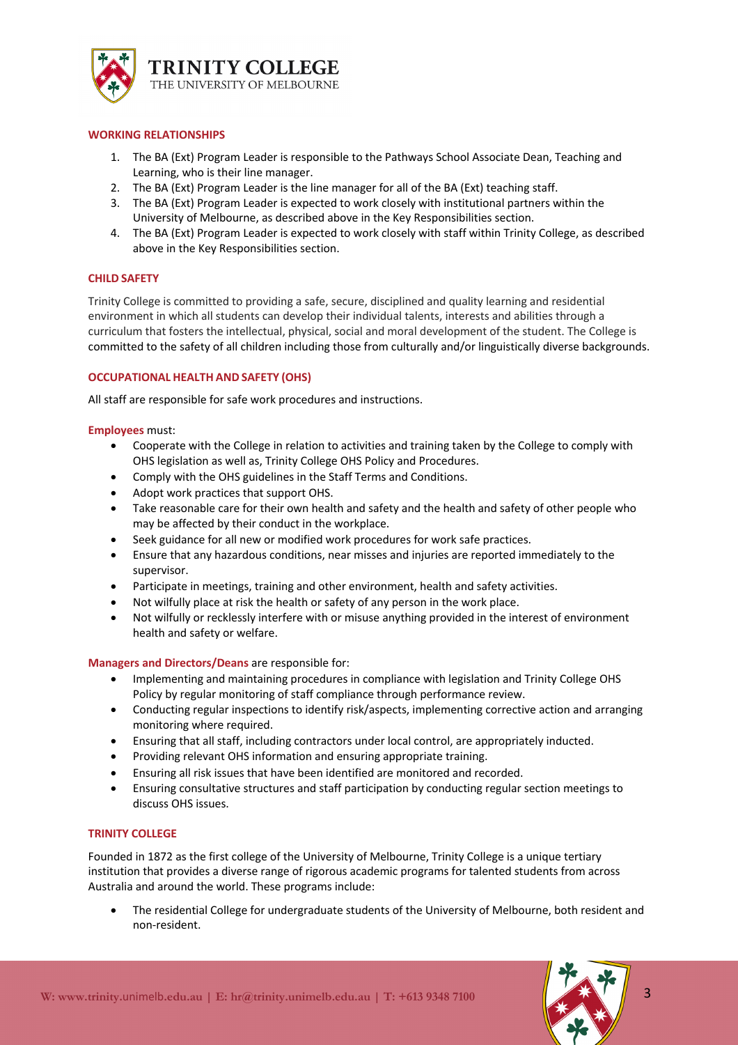

# **WORKING RELATIONSHIPS**

- 1. The BA (Ext) Program Leader is responsible to the Pathways School Associate Dean, Teaching and Learning, who is their line manager.
- 2. The BA (Ext) Program Leader is the line manager for all of the BA (Ext) teaching staff.
- 3. The BA (Ext) Program Leader is expected to work closely with institutional partners within the University of Melbourne, as described above in the Key Responsibilities section.
- 4. The BA (Ext) Program Leader is expected to work closely with staff within Trinity College, as described above in the Key Responsibilities section.

# **CHILD SAFETY**

Trinity College is committed to providing a safe, secure, disciplined and quality learning and residential environment in which all students can develop their individual talents, interests and abilities through a curriculum that fosters the intellectual, physical, social and moral development of the student. The College is committed to the safety of all children including those from culturally and/or linguistically diverse backgrounds.

# **OCCUPATIONAL HEALTH AND SAFETY (OHS)**

All staff are responsible for safe work procedures and instructions.

## **Employees** must:

- Cooperate with the College in relation to activities and training taken by the College to comply with OHS legislation as well as, Trinity College OHS Policy and Procedures.
- Comply with the OHS guidelines in the Staff Terms and Conditions.
- Adopt work practices that support OHS.
- Take reasonable care for their own health and safety and the health and safety of other people who may be affected by their conduct in the workplace.
- Seek guidance for all new or modified work procedures for work safe practices.
- Ensure that any hazardous conditions, near misses and injuries are reported immediately to the supervisor.
- Participate in meetings, training and other environment, health and safety activities.
- Not wilfully place at risk the health or safety of any person in the work place.
- Not wilfully or recklessly interfere with or misuse anything provided in the interest of environment health and safety or welfare.

## **Managers and Directors/Deans** are responsible for:

- Implementing and maintaining procedures in compliance with legislation and Trinity College OHS Policy by regular monitoring of staff compliance through performance review.
- Conducting regular inspections to identify risk/aspects, implementing corrective action and arranging monitoring where required.
- Ensuring that all staff, including contractors under local control, are appropriately inducted.
- Providing relevant OHS information and ensuring appropriate training.
- Ensuring all risk issues that have been identified are monitored and recorded.
- Ensuring consultative structures and staff participation by conducting regular section meetings to discuss OHS issues.

## **TRINITY COLLEGE**

Founded in 1872 as the first college of the University of Melbourne, Trinity College is a unique tertiary institution that provides a diverse range of rigorous academic programs for talented students from across Australia and around the world. These programs include:

• The residential College for undergraduate students of the University of Melbourne, both resident and non-resident.